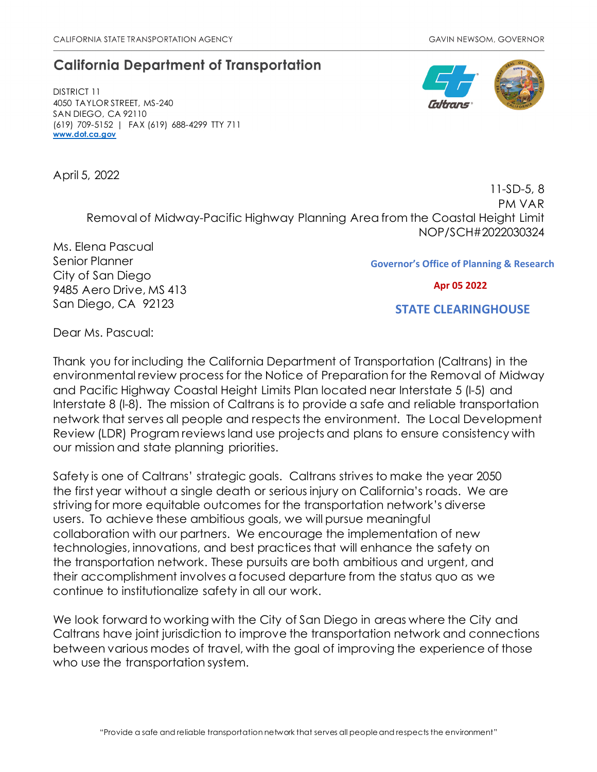## **California Department of Transportation**

DISTRICT 11 4050 TAYLOR STREET, MS-240 SAN DIEGO, CA 92110 (619) 709-5152 | FAX (619) 688-4299 TTY 711 **[www.dot.ca.gov](http://www.dot.ca.gov/)**

April 5, 2022



11-SD-5, 8 PM VAR Removal of Midway-Pacific Highway Planning Area from the Coastal Height Limit NOP/SCH#2022030324

Ms. Elena Pascual Senior Planner City of San Diego 9485 Aero Drive, MS 413 San Diego, CA 92123

**Governor's Office of Planning & Research**

 **Apr 05 2022**

 **STATE CLEARINGHOUSE**

Dear Ms. Pascual:

Thank you for including the California Department of Transportation (Caltrans) in the environmental review process for the Notice of Preparation for the Removal of Midway and Pacific Highway Coastal Height Limits Plan located near Interstate 5 (I-5) and Interstate 8 (I-8). The mission of Caltrans is to provide a safe and reliable transportation network that serves all people and respects the environment. The Local Development Review (LDR) Program reviews land use projects and plans to ensure consistency with our mission and state planning priorities.

Safety is one of Caltrans' strategic goals. Caltrans strives to make the year 2050 the first year without a single death or serious injury on California's roads. We are striving for more equitable outcomes for the transportation network's diverse users. To achieve these ambitious goals, we will pursue meaningful collaboration with our partners. We encourage the implementation of new technologies, innovations, and best practices that will enhance the safety on the transportation network. These pursuits are both ambitious and urgent, and their accomplishment involves a focused departure from the status quo as we continue to institutionalize safety in all our work.

We look forward to working with the City of San Diego in areas where the City and Caltrans have joint jurisdiction to improve the transportation network and connections between various modes of travel, with the goal of improving the experience of those who use the transportation system.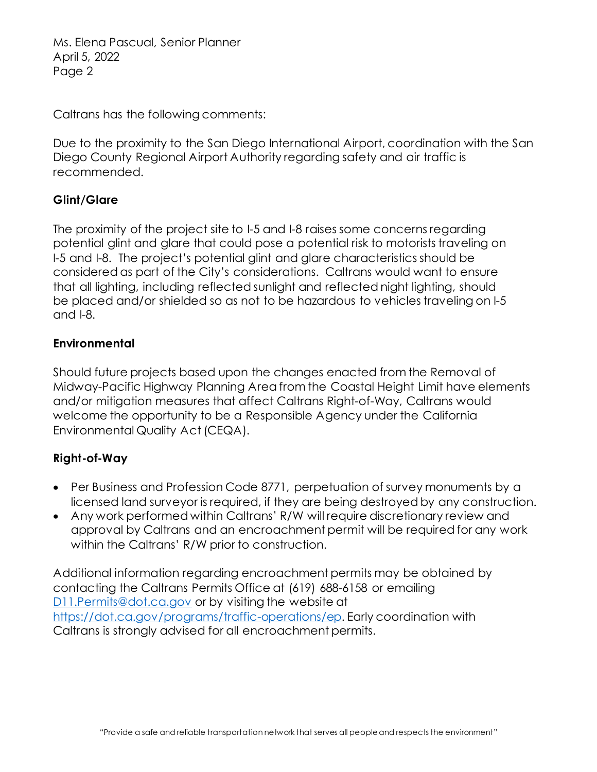Ms. Elena Pascual, Senior Planner April 5, 2022 Page 2

Caltrans has the following comments:

Due to the proximity to the San Diego International Airport, coordination with the San Diego County Regional Airport Authority regarding safety and air traffic is recommended.

## **Glint/Glare**

The proximity of the project site to I-5 and I-8 raises some concerns regarding potential glint and glare that could pose a potential risk to motorists traveling on I-5 and I-8. The project's potential glint and glare characteristics should be considered as part of the City's considerations. Caltrans would want to ensure that all lighting, including reflected sunlight and reflected night lighting, should be placed and/or shielded so as not to be hazardous to vehicles traveling on I-5 and I-8.

## **Environmental**

Should future projects based upon the changes enacted from the Removal of Midway-Pacific Highway Planning Area from the Coastal Height Limit have elements and/or mitigation measures that affect Caltrans Right-of-Way, Caltrans would welcome the opportunity to be a Responsible Agency under the California Environmental Quality Act (CEQA).

## **Right-of-Way**

- Per Business and Profession Code 8771, perpetuation of survey monuments by a licensed land surveyor is required, if they are being destroyed by any construction.
- Any work performed within Caltrans' R/W will require discretionary review and approval by Caltrans and an encroachment permit will be required for any work within the Caltrans' R/W prior to construction.

Additional information regarding encroachment permits may be obtained by contacting the Caltrans Permits Office at (619) 688-6158 or emailing [D11.Permits@dot.ca.gov](mailto:D11.Permits@dot.ca.gov) or by visiting the website at <https://dot.ca.gov/programs/traffic-operations/ep>. Early coordination with Caltrans is strongly advised for all encroachment permits.